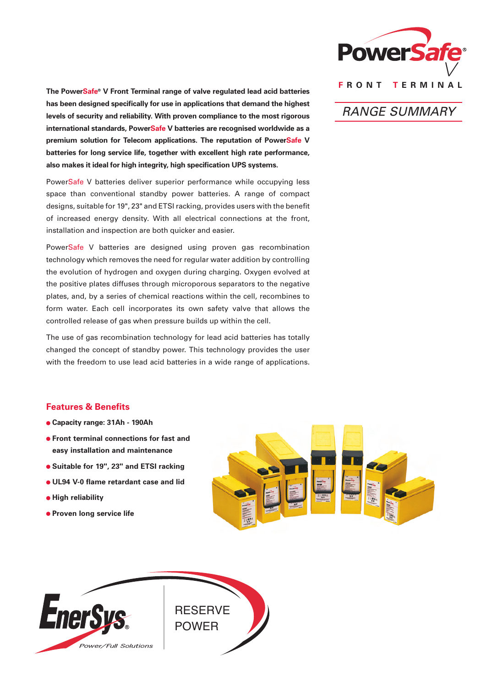

**The PowerSafe® V Front Terminal range of valve regulated lead acid batteries has been designed specifically for use in applications that demand the highest levels of security and reliability. With proven compliance to the most rigorous international standards, PowerSafe V batteries are recognised worldwide as a premium solution for Telecom applications. The reputation of PowerSafe V batteries for long service life, together with excellent high rate performance, also makes it ideal for high integrity, high specification UPS systems.**

PowerSafe V batteries deliver superior performance while occupying less space than conventional standby power batteries. A range of compact designs, suitable for 19", 23" and ETSI racking, provides users with the benefit of increased energy density. With all electrical connections at the front, installation and inspection are both quicker and easier.

PowerSafe V batteries are designed using proven gas recombination technology which removes the need for regular water addition by controlling the evolution of hydrogen and oxygen during charging. Oxygen evolved at the positive plates diffuses through microporous separators to the negative plates, and, by a series of chemical reactions within the cell, recombines to form water. Each cell incorporates its own safety valve that allows the controlled release of gas when pressure builds up within the cell.

The use of gas recombination technology for lead acid batteries has totally changed the concept of standby power. This technology provides the user with the freedom to use lead acid batteries in a wide range of applications.

# RANGE SUMMARY

### **Features & Benefits**

- **Capacity range: 31Ah 190Ah**
- **Front terminal connections for fast and easy installation and maintenance**
- **Suitable for 19", 23" and ETSI racking**
- **UL94 V-0 flame retardant case and lid**
- $\bullet$  **High reliability**
- **Proven long service life**